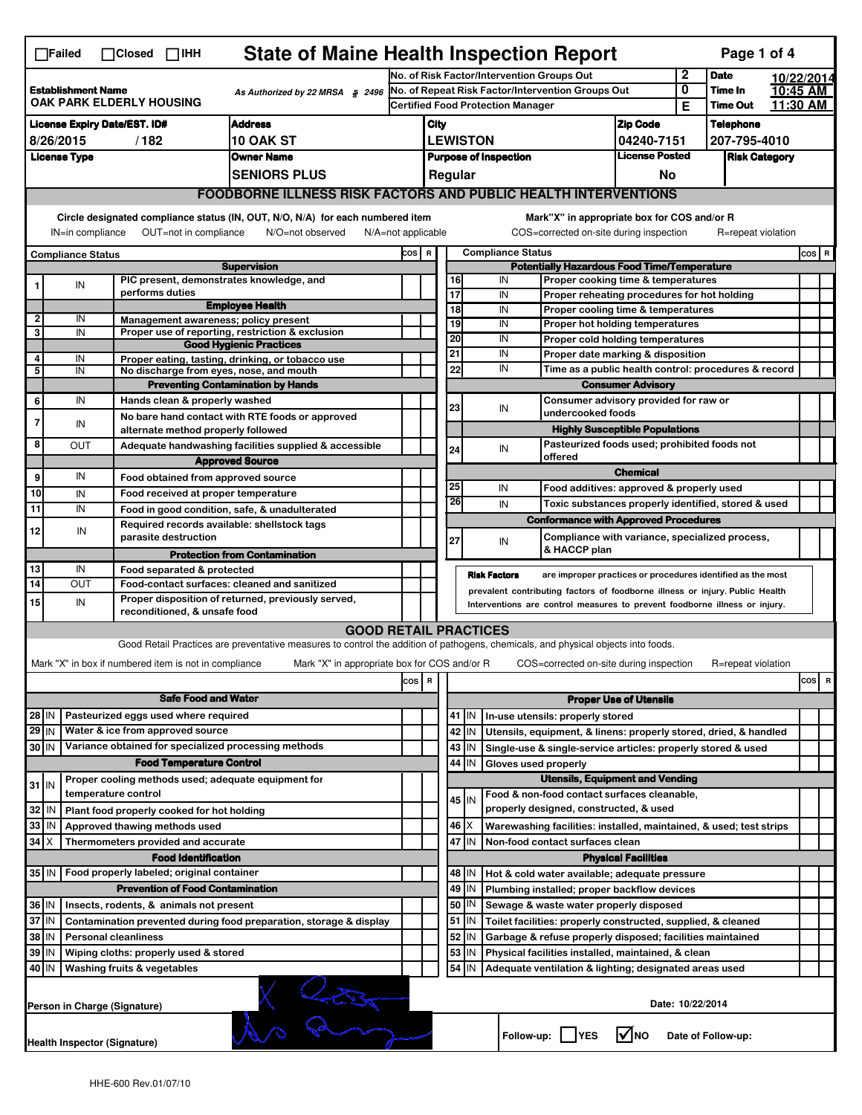|                                                                                          | <b>State of Maine Health Inspection Report</b><br>Page 1 of 4<br>$\Box$ Failed<br>$\Box$ Closed $\Box$ IHH                                                                |                              |                                                       |                                                                                                                                   |                                            |                                                    |                                                                                                                                                            |                                                              |                     |                                                                                        |                                                                   |             |                            |            |                      |  |  |
|------------------------------------------------------------------------------------------|---------------------------------------------------------------------------------------------------------------------------------------------------------------------------|------------------------------|-------------------------------------------------------|-----------------------------------------------------------------------------------------------------------------------------------|--------------------------------------------|----------------------------------------------------|------------------------------------------------------------------------------------------------------------------------------------------------------------|--------------------------------------------------------------|---------------------|----------------------------------------------------------------------------------------|-------------------------------------------------------------------|-------------|----------------------------|------------|----------------------|--|--|
| <b>Establishment Name</b><br>As Authorized by 22 MRSA § 2496<br>OAK PARK ELDERLY HOUSING |                                                                                                                                                                           |                              |                                                       |                                                                                                                                   | No. of Risk Factor/Intervention Groups Out |                                                    |                                                                                                                                                            |                                                              |                     |                                                                                        | 2                                                                 | <b>Date</b> |                            | 10/22/2014 |                      |  |  |
|                                                                                          |                                                                                                                                                                           |                              |                                                       |                                                                                                                                   |                                            |                                                    | No. of Repeat Risk Factor/Intervention Groups Out<br><b>Certified Food Protection Manager</b>                                                              |                                                              |                     |                                                                                        |                                                                   | 0<br>Е      | Time In<br><b>Time Out</b> |            | 10:45 AM<br>11:30 AM |  |  |
|                                                                                          | <b>Address</b>                                                                                                                                                            |                              |                                                       |                                                                                                                                   |                                            | City                                               |                                                                                                                                                            |                                                              |                     |                                                                                        | <b>Zip Code</b>                                                   |             | <b>Telephone</b>           |            |                      |  |  |
|                                                                                          | <b>License Expiry Date/EST. ID#</b><br>8/26/2015<br>10 OAK ST<br>/182                                                                                                     |                              |                                                       |                                                                                                                                   |                                            |                                                    |                                                                                                                                                            |                                                              |                     |                                                                                        | 04240-7151                                                        |             | 207-795-4010               |            |                      |  |  |
| <b>Owner Name</b><br><b>License Type</b>                                                 |                                                                                                                                                                           |                              |                                                       |                                                                                                                                   |                                            |                                                    | <b>LEWISTON</b><br><b>Purpose of Inspection</b>                                                                                                            |                                                              |                     |                                                                                        | <b>License Posted</b>                                             |             | <b>Risk Category</b>       |            |                      |  |  |
| <b>SENIORS PLUS</b>                                                                      |                                                                                                                                                                           |                              |                                                       |                                                                                                                                   |                                            |                                                    | Regular                                                                                                                                                    |                                                              |                     |                                                                                        | No                                                                |             |                            |            |                      |  |  |
|                                                                                          |                                                                                                                                                                           |                              |                                                       | <b>FOODBORNE ILLNESS RISK FACTORS AND PUBLIC HEALTH INTERVENTIONS</b>                                                             |                                            |                                                    |                                                                                                                                                            |                                                              |                     |                                                                                        |                                                                   |             |                            |            |                      |  |  |
|                                                                                          |                                                                                                                                                                           |                              |                                                       |                                                                                                                                   |                                            |                                                    |                                                                                                                                                            |                                                              |                     |                                                                                        |                                                                   |             |                            |            |                      |  |  |
|                                                                                          | Circle designated compliance status (IN, OUT, N/O, N/A) for each numbered item<br>OUT=not in compliance<br>IN=in compliance<br>N/O=not observed<br>$N/A = not$ applicable |                              |                                                       |                                                                                                                                   |                                            |                                                    |                                                                                                                                                            |                                                              |                     | Mark"X" in appropriate box for COS and/or R<br>COS=corrected on-site during inspection |                                                                   |             | R=repeat violation         |            |                      |  |  |
|                                                                                          |                                                                                                                                                                           |                              |                                                       |                                                                                                                                   |                                            |                                                    | COS R<br><b>Compliance Status</b>                                                                                                                          |                                                              |                     |                                                                                        |                                                                   |             |                            |            | $cos$ R              |  |  |
| <b>Compliance Status</b><br><b>Supervision</b>                                           |                                                                                                                                                                           |                              |                                                       |                                                                                                                                   |                                            | <b>Potentially Hazardous Food Time/Temperature</b> |                                                                                                                                                            |                                                              |                     |                                                                                        |                                                                   |             |                            |            |                      |  |  |
|                                                                                          | IN                                                                                                                                                                        |                              |                                                       | PIC present, demonstrates knowledge, and                                                                                          |                                            |                                                    | 16                                                                                                                                                         |                                                              | IN                  | Proper cooking time & temperatures                                                     |                                                                   |             |                            |            |                      |  |  |
|                                                                                          |                                                                                                                                                                           |                              | performs duties                                       | <b>Employee Health</b>                                                                                                            |                                            |                                                    | 17                                                                                                                                                         |                                                              | IN                  | Proper reheating procedures for hot holding                                            |                                                                   |             |                            |            |                      |  |  |
| $\mathbf{2}$                                                                             | IN                                                                                                                                                                        |                              |                                                       | Management awareness; policy present                                                                                              |                                            |                                                    | 18                                                                                                                                                         |                                                              | IN                  | Proper cooling time & temperatures                                                     |                                                                   |             |                            |            |                      |  |  |
| 3                                                                                        | IN                                                                                                                                                                        |                              |                                                       | Proper use of reporting, restriction & exclusion                                                                                  |                                            |                                                    | 19                                                                                                                                                         |                                                              | IN                  | Proper hot holding temperatures                                                        |                                                                   |             |                            |            |                      |  |  |
|                                                                                          |                                                                                                                                                                           |                              |                                                       | <b>Good Hygienic Practices</b>                                                                                                    |                                            |                                                    | 20                                                                                                                                                         |                                                              | IN                  | Proper cold holding temperatures                                                       |                                                                   |             |                            |            |                      |  |  |
| 4                                                                                        | IN                                                                                                                                                                        |                              |                                                       | Proper eating, tasting, drinking, or tobacco use                                                                                  |                                            |                                                    | 21<br>22                                                                                                                                                   |                                                              | IN<br>IN            | Proper date marking & disposition                                                      |                                                                   |             |                            |            |                      |  |  |
| 5                                                                                        | IN                                                                                                                                                                        |                              |                                                       | No discharge from eyes, nose, and mouth<br><b>Preventing Contamination by Hands</b>                                               |                                            |                                                    |                                                                                                                                                            |                                                              |                     | Time as a public health control: procedures & record                                   |                                                                   |             |                            |            |                      |  |  |
| 6                                                                                        | IN                                                                                                                                                                        |                              | Hands clean & properly washed                         |                                                                                                                                   |                                            |                                                    |                                                                                                                                                            |                                                              |                     |                                                                                        | <b>Consumer Advisory</b><br>Consumer advisory provided for raw or |             |                            |            |                      |  |  |
|                                                                                          |                                                                                                                                                                           |                              |                                                       | No bare hand contact with RTE foods or approved                                                                                   |                                            |                                                    | 23                                                                                                                                                         |                                                              | IN                  | undercooked foods                                                                      |                                                                   |             |                            |            |                      |  |  |
| 7                                                                                        | IN                                                                                                                                                                        |                              | alternate method properly followed                    |                                                                                                                                   |                                            |                                                    |                                                                                                                                                            |                                                              |                     |                                                                                        | <b>Highly Susceptible Populations</b>                             |             |                            |            |                      |  |  |
| 8                                                                                        | OUT                                                                                                                                                                       |                              |                                                       | Adequate handwashing facilities supplied & accessible                                                                             |                                            |                                                    | 24                                                                                                                                                         |                                                              | IN                  |                                                                                        | Pasteurized foods used; prohibited foods not                      |             |                            |            |                      |  |  |
|                                                                                          |                                                                                                                                                                           |                              |                                                       | <b>Approved Source</b>                                                                                                            |                                            |                                                    |                                                                                                                                                            |                                                              |                     | offered                                                                                |                                                                   |             |                            |            |                      |  |  |
| 9                                                                                        | IN                                                                                                                                                                        |                              | Food obtained from approved source                    |                                                                                                                                   |                                            |                                                    |                                                                                                                                                            |                                                              |                     |                                                                                        | <b>Chemical</b>                                                   |             |                            |            |                      |  |  |
| 10                                                                                       | IN                                                                                                                                                                        |                              | Food received at proper temperature                   |                                                                                                                                   |                                            |                                                    | 25                                                                                                                                                         |                                                              | IN                  | Food additives: approved & properly used                                               |                                                                   |             |                            |            |                      |  |  |
| 11                                                                                       | IN                                                                                                                                                                        |                              |                                                       | Food in good condition, safe, & unadulterated                                                                                     |                                            |                                                    | 26                                                                                                                                                         |                                                              | IN                  | Toxic substances properly identified, stored & used                                    |                                                                   |             |                            |            |                      |  |  |
|                                                                                          |                                                                                                                                                                           |                              |                                                       | Required records available: shellstock tags                                                                                       |                                            |                                                    |                                                                                                                                                            |                                                              |                     | <b>Conformance with Approved Procedures</b>                                            |                                                                   |             |                            |            |                      |  |  |
| 12                                                                                       | IN                                                                                                                                                                        |                              | parasite destruction                                  |                                                                                                                                   |                                            |                                                    | 27                                                                                                                                                         |                                                              | IN                  | Compliance with variance, specialized process,                                         |                                                                   |             |                            |            |                      |  |  |
|                                                                                          |                                                                                                                                                                           |                              |                                                       | <b>Protection from Contamination</b>                                                                                              |                                            |                                                    |                                                                                                                                                            |                                                              |                     | & HACCP plan                                                                           |                                                                   |             |                            |            |                      |  |  |
| 13                                                                                       | IN                                                                                                                                                                        |                              | Food separated & protected                            |                                                                                                                                   |                                            |                                                    |                                                                                                                                                            |                                                              | <b>Risk Factors</b> | are improper practices or procedures identified as the most                            |                                                                   |             |                            |            |                      |  |  |
| 14                                                                                       | OUT                                                                                                                                                                       |                              |                                                       | Food-contact surfaces: cleaned and sanitized                                                                                      |                                            |                                                    |                                                                                                                                                            |                                                              |                     |                                                                                        |                                                                   |             |                            |            |                      |  |  |
| 15                                                                                       | IN                                                                                                                                                                        |                              |                                                       | Proper disposition of returned, previously served,                                                                                |                                            |                                                    | prevalent contributing factors of foodborne illness or injury. Public Health<br>Interventions are control measures to prevent foodborne illness or injury. |                                                              |                     |                                                                                        |                                                                   |             |                            |            |                      |  |  |
|                                                                                          |                                                                                                                                                                           |                              | reconditioned, & unsafe food                          |                                                                                                                                   |                                            |                                                    |                                                                                                                                                            |                                                              |                     |                                                                                        |                                                                   |             |                            |            |                      |  |  |
|                                                                                          |                                                                                                                                                                           |                              |                                                       | <b>GOOD RETAIL PRACTICES</b>                                                                                                      |                                            |                                                    |                                                                                                                                                            |                                                              |                     |                                                                                        |                                                                   |             |                            |            |                      |  |  |
|                                                                                          |                                                                                                                                                                           |                              |                                                       | Good Retail Practices are preventative measures to control the addition of pathogens, chemicals, and physical objects into foods. |                                            |                                                    |                                                                                                                                                            |                                                              |                     |                                                                                        |                                                                   |             |                            |            |                      |  |  |
|                                                                                          |                                                                                                                                                                           |                              | Mark "X" in box if numbered item is not in compliance | Mark "X" in appropriate box for COS and/or R                                                                                      |                                            |                                                    |                                                                                                                                                            |                                                              |                     | COS=corrected on-site during inspection                                                |                                                                   |             | R=repeat violation         |            |                      |  |  |
|                                                                                          |                                                                                                                                                                           |                              |                                                       |                                                                                                                                   | COS R                                      |                                                    |                                                                                                                                                            |                                                              |                     |                                                                                        |                                                                   |             |                            |            | cosl<br>R            |  |  |
|                                                                                          |                                                                                                                                                                           |                              | <b>Safe Food and Water</b>                            |                                                                                                                                   |                                            |                                                    |                                                                                                                                                            |                                                              |                     |                                                                                        | <b>Proper Use of Utensils</b>                                     |             |                            |            |                      |  |  |
| 28 IN                                                                                    |                                                                                                                                                                           |                              | Pasteurized eggs used where required                  |                                                                                                                                   |                                            |                                                    |                                                                                                                                                            | 41   IN                                                      |                     | In-use utensils: properly stored                                                       |                                                                   |             |                            |            |                      |  |  |
| $29$ IN                                                                                  |                                                                                                                                                                           |                              | Water & ice from approved source                      |                                                                                                                                   |                                            |                                                    |                                                                                                                                                            | 42<br>IN                                                     |                     | Utensils, equipment, & linens: properly stored, dried, & handled                       |                                                                   |             |                            |            |                      |  |  |
| 30 IN                                                                                    |                                                                                                                                                                           |                              |                                                       | Variance obtained for specialized processing methods                                                                              |                                            |                                                    |                                                                                                                                                            | 43<br>IN                                                     |                     | Single-use & single-service articles: properly stored & used                           |                                                                   |             |                            |            |                      |  |  |
|                                                                                          |                                                                                                                                                                           |                              | <b>Food Temperature Control</b>                       |                                                                                                                                   |                                            |                                                    | 44                                                                                                                                                         | IN                                                           |                     | Gloves used properly                                                                   |                                                                   |             |                            |            |                      |  |  |
| $31$ IN                                                                                  |                                                                                                                                                                           |                              |                                                       | Proper cooling methods used; adequate equipment for                                                                               |                                            |                                                    | <b>Utensils, Equipment and Vending</b>                                                                                                                     |                                                              |                     |                                                                                        |                                                                   |             |                            |            |                      |  |  |
|                                                                                          |                                                                                                                                                                           | temperature control          |                                                       |                                                                                                                                   |                                            |                                                    |                                                                                                                                                            | 45 I IN                                                      |                     | Food & non-food contact surfaces cleanable,                                            |                                                                   |             |                            |            |                      |  |  |
| 32                                                                                       | IN                                                                                                                                                                        |                              | Plant food properly cooked for hot holding            |                                                                                                                                   |                                            |                                                    |                                                                                                                                                            |                                                              |                     | properly designed, constructed, & used                                                 |                                                                   |             |                            |            |                      |  |  |
| 33                                                                                       | IN                                                                                                                                                                        |                              | Approved thawing methods used                         |                                                                                                                                   |                                            |                                                    |                                                                                                                                                            | 46<br>X                                                      |                     | Warewashing facilities: installed, maintained, & used; test strips                     |                                                                   |             |                            |            |                      |  |  |
| $34$ $\times$                                                                            |                                                                                                                                                                           |                              | Thermometers provided and accurate                    |                                                                                                                                   |                                            |                                                    |                                                                                                                                                            | 47 IN<br>Non-food contact surfaces clean                     |                     |                                                                                        |                                                                   |             |                            |            |                      |  |  |
|                                                                                          |                                                                                                                                                                           |                              | <b>Food Identification</b>                            |                                                                                                                                   |                                            |                                                    | <b>Physical Facilities</b>                                                                                                                                 |                                                              |                     |                                                                                        |                                                                   |             |                            |            |                      |  |  |
| $35$ IN                                                                                  |                                                                                                                                                                           |                              | Food properly labeled; original container             |                                                                                                                                   |                                            |                                                    |                                                                                                                                                            | 48   IN                                                      |                     | Hot & cold water available; adequate pressure                                          |                                                                   |             |                            |            |                      |  |  |
|                                                                                          |                                                                                                                                                                           |                              | <b>Prevention of Food Contamination</b>               |                                                                                                                                   |                                            |                                                    |                                                                                                                                                            | 49<br>IN                                                     |                     | Plumbing installed; proper backflow devices                                            |                                                                   |             |                            |            |                      |  |  |
| 36 IN                                                                                    |                                                                                                                                                                           |                              | Insects, rodents, & animals not present               |                                                                                                                                   |                                            |                                                    |                                                                                                                                                            | 50   IN                                                      |                     | Sewage & waste water properly disposed                                                 |                                                                   |             |                            |            |                      |  |  |
| 37 IN<br>Contamination prevented during food preparation, storage & display              |                                                                                                                                                                           |                              |                                                       |                                                                                                                                   |                                            |                                                    | $51$ M                                                                                                                                                     | Toilet facilities: properly constructed, supplied, & cleaned |                     |                                                                                        |                                                                   |             |                            |            |                      |  |  |
| 38 IN<br><b>Personal cleanliness</b>                                                     |                                                                                                                                                                           |                              |                                                       |                                                                                                                                   |                                            |                                                    | 52<br>IN                                                                                                                                                   | Garbage & refuse properly disposed; facilities maintained    |                     |                                                                                        |                                                                   |             |                            |            |                      |  |  |
| 39 IN<br>Wiping cloths: properly used & stored                                           |                                                                                                                                                                           |                              |                                                       |                                                                                                                                   |                                            | 53                                                 | IN                                                                                                                                                         | Physical facilities installed, maintained, & clean           |                     |                                                                                        |                                                                   |             |                            |            |                      |  |  |
| 40 IN                                                                                    |                                                                                                                                                                           | Washing fruits & vegetables  |                                                       |                                                                                                                                   |                                            |                                                    |                                                                                                                                                            | 54<br>IN                                                     |                     | Adequate ventilation & lighting; designated areas used                                 |                                                                   |             |                            |            |                      |  |  |
|                                                                                          | $X = 2$<br>Date: 10/22/2014<br>Person in Charge (Signature)                                                                                                               |                              |                                                       |                                                                                                                                   |                                            |                                                    |                                                                                                                                                            |                                                              |                     |                                                                                        |                                                                   |             |                            |            |                      |  |  |
|                                                                                          |                                                                                                                                                                           | Health Inspector (Signature) |                                                       |                                                                                                                                   |                                            |                                                    |                                                                                                                                                            |                                                              |                     | Follow-up:     YES                                                                     | $\sqrt{ }$ NO                                                     |             | Date of Follow-up:         |            |                      |  |  |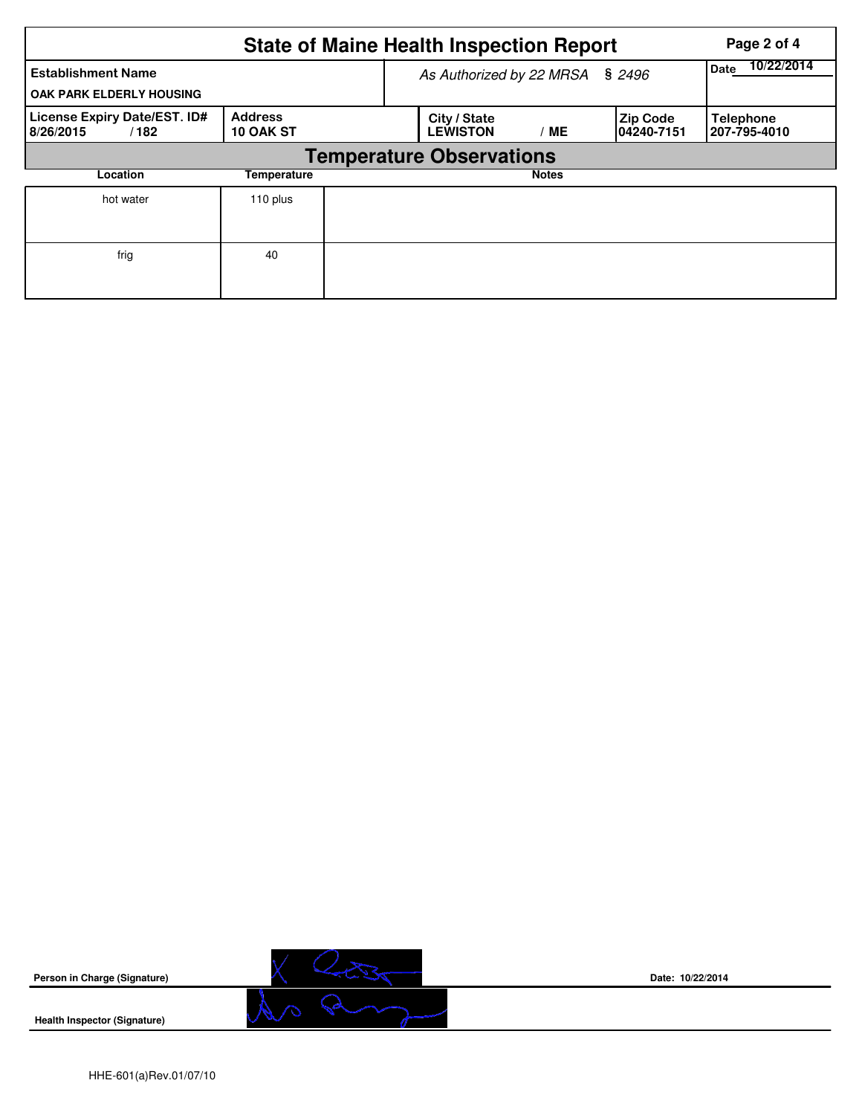|                                                       |                                 |                                 | <b>State of Maine Health Inspection Report</b> |    |                                |                                  |  |  |  |  |
|-------------------------------------------------------|---------------------------------|---------------------------------|------------------------------------------------|----|--------------------------------|----------------------------------|--|--|--|--|
| <b>Establishment Name</b><br>OAK PARK ELDERLY HOUSING |                                 | As Authorized by 22 MRSA § 2496 |                                                |    |                                |                                  |  |  |  |  |
| License Expiry Date/EST. ID#<br>8/26/2015<br>/182     | <b>Address</b><br>10 OAK ST     |                                 | City / State<br><b>LEWISTON</b>                | ME | <b>Zip Code</b><br>104240-7151 | <b>Telephone</b><br>207-795-4010 |  |  |  |  |
|                                                       | <b>Temperature Observations</b> |                                 |                                                |    |                                |                                  |  |  |  |  |
| Location                                              |                                 |                                 | <b>Notes</b>                                   |    |                                |                                  |  |  |  |  |
| hot water                                             | 110 plus                        |                                 |                                                |    |                                |                                  |  |  |  |  |
| frig                                                  | 40                              |                                 |                                                |    |                                |                                  |  |  |  |  |



**Date: 10/22/2014**

**Health Inspector (Signature)**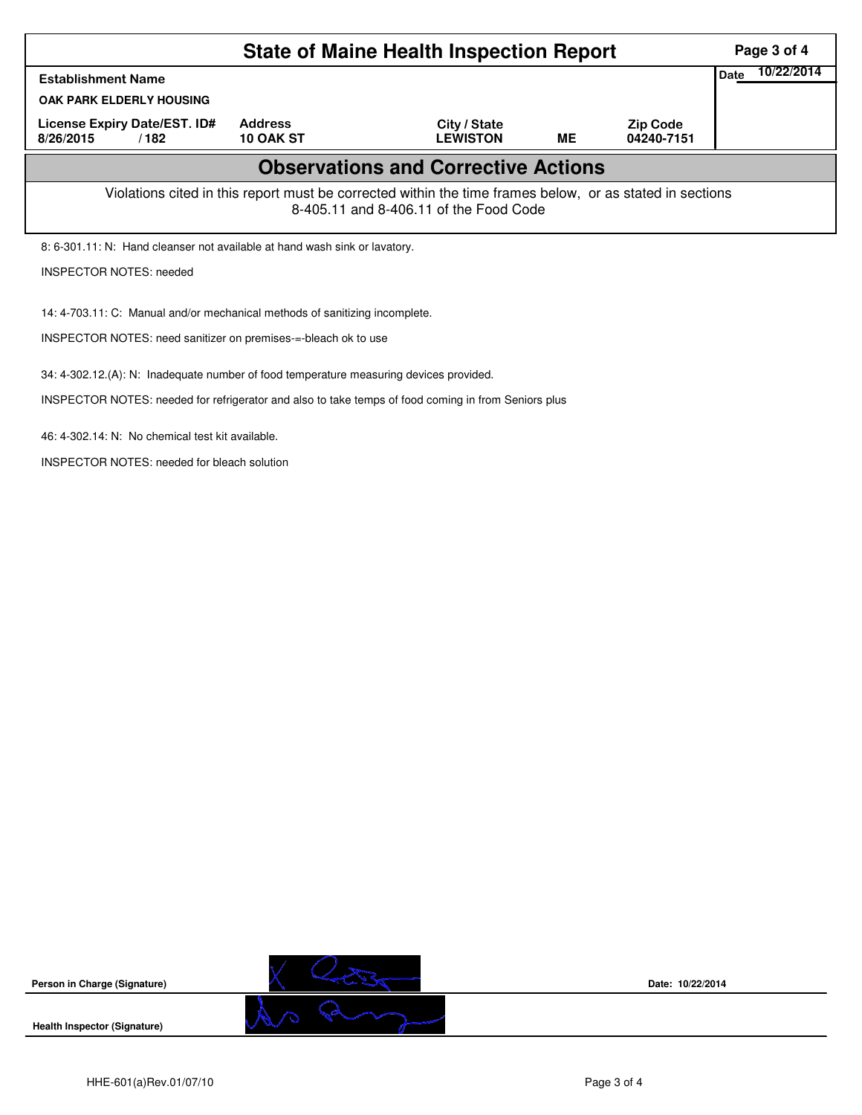|                                                                                                                                                    | Page 3 of 4                                                          |  |                               |  |      |            |  |  |  |
|----------------------------------------------------------------------------------------------------------------------------------------------------|----------------------------------------------------------------------|--|-------------------------------|--|------|------------|--|--|--|
| <b>Establishment Name</b>                                                                                                                          |                                                                      |  |                               |  | Date | 10/22/2014 |  |  |  |
| OAK PARK ELDERLY HOUSING                                                                                                                           |                                                                      |  |                               |  |      |            |  |  |  |
| License Expiry Date/EST. ID#<br>8/26/2015<br>/182                                                                                                  | <b>Address</b><br>City / State<br><b>LEWISTON</b><br>ME<br>10 OAK ST |  | <b>Zip Code</b><br>04240-7151 |  |      |            |  |  |  |
| <b>Observations and Corrective Actions</b>                                                                                                         |                                                                      |  |                               |  |      |            |  |  |  |
| Violations cited in this report must be corrected within the time frames below, or as stated in sections<br>8-405.11 and 8-406.11 of the Food Code |                                                                      |  |                               |  |      |            |  |  |  |
| 8: 6-301.11: N: Hand cleanser not available at hand wash sink or lavatory.                                                                         |                                                                      |  |                               |  |      |            |  |  |  |
| <b>INSPECTOR NOTES: needed</b>                                                                                                                     |                                                                      |  |                               |  |      |            |  |  |  |
| 14: 4-703.11: C: Manual and/or mechanical methods of sanitizing incomplete.                                                                        |                                                                      |  |                               |  |      |            |  |  |  |
| INSPECTOR NOTES: need sanitizer on premises-=-bleach ok to use                                                                                     |                                                                      |  |                               |  |      |            |  |  |  |

34: 4-302.12.(A): N: Inadequate number of food temperature measuring devices provided.

INSPECTOR NOTES: needed for refrigerator and also to take temps of food coming in from Seniors plus

46: 4-302.14: N: No chemical test kit available.

INSPECTOR NOTES: needed for bleach solution



**Date: 10/22/2014**